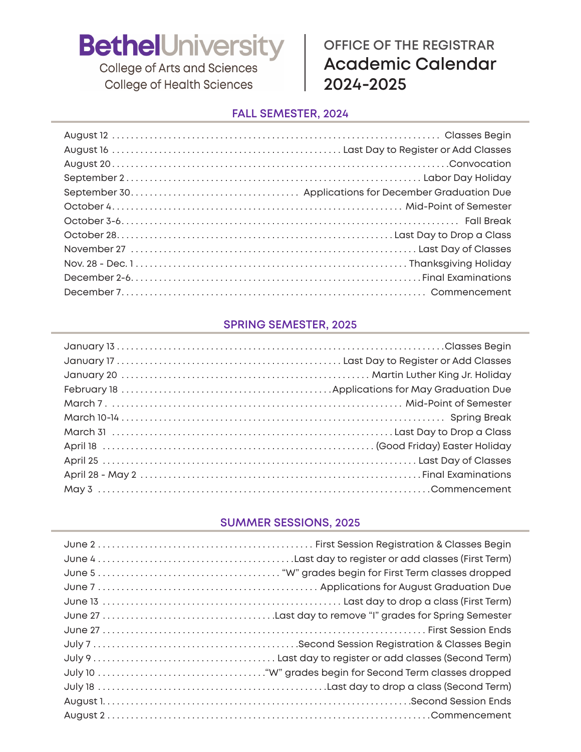College of Arts and Sciences **College of Health Sciences** 

### **OFFICE OF THE REGISTRAR Academic Calendar 2024-2025**

#### **FALL SEMESTER, 2024**

#### **SPRING SEMESTER, 2025**

#### **SUMMER SESSIONS, 2025**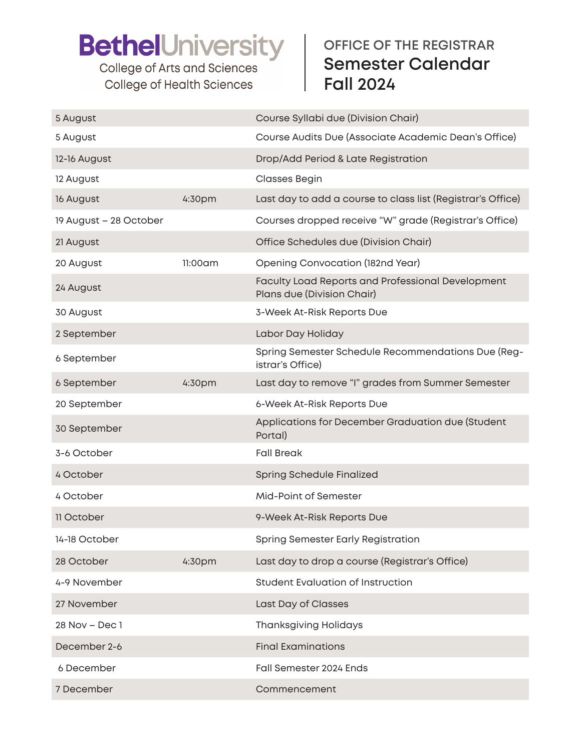College of Arts and Sciences **College of Health Sciences** 

### **OFFICE OF THE REGISTRAR Semester Calendar Fall 2024**

| 5 August               |         | Course Syllabi due (Division Chair)                                                    |
|------------------------|---------|----------------------------------------------------------------------------------------|
| 5 August               |         | Course Audits Due (Associate Academic Dean's Office)                                   |
| 12-16 August           |         | Drop/Add Period & Late Registration                                                    |
| 12 August              |         | <b>Classes Begin</b>                                                                   |
| 16 August              | 4:30pm  | Last day to add a course to class list (Registrar's Office)                            |
| 19 August - 28 October |         | Courses dropped receive "W" grade (Registrar's Office)                                 |
| 21 August              |         | Office Schedules due (Division Chair)                                                  |
| 20 August              | 11:00am | Opening Convocation (182nd Year)                                                       |
| 24 August              |         | <b>Faculty Load Reports and Professional Development</b><br>Plans due (Division Chair) |
| 30 August              |         | 3-Week At-Risk Reports Due                                                             |
| 2 September            |         | Labor Day Holiday                                                                      |
| 6 September            |         | Spring Semester Schedule Recommendations Due (Reg-<br>istrar's Office)                 |
| 6 September            | 4:30pm  | Last day to remove "I" grades from Summer Semester                                     |
| 20 September           |         | 6-Week At-Risk Reports Due                                                             |
| 30 September           |         | Applications for December Graduation due (Student<br>Portal)                           |
| 3-6 October            |         | <b>Fall Break</b>                                                                      |
| 4 October              |         | Spring Schedule Finalized                                                              |
| 4 October              |         | Mid-Point of Semester                                                                  |
| 11 October             |         | 9-Week At-Risk Reports Due                                                             |
| 14-18 October          |         | <b>Spring Semester Early Registration</b>                                              |
| 28 October             | 4:30pm  | Last day to drop a course (Registrar's Office)                                         |
| 4-9 November           |         | Student Evaluation of Instruction                                                      |
| 27 November            |         | Last Day of Classes                                                                    |
| 28 Nov - Dec 1         |         | <b>Thanksgiving Holidays</b>                                                           |
| December 2-6           |         | <b>Final Examinations</b>                                                              |
| 6 December             |         | Fall Semester 2024 Ends                                                                |
| 7 December             |         | Commencement                                                                           |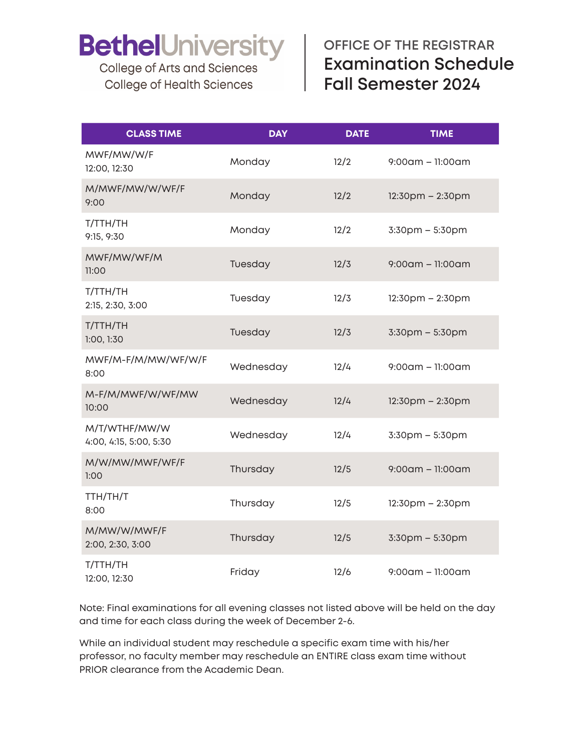**College of Arts and Sciences College of Health Sciences** 

### **OFFICE OF THE REGISTRAR Examination Schedule Fall Semester 2024**

| <b>CLASS TIME</b>                       | <b>DAY</b> | <b>DATE</b> | <b>TIME</b>            |
|-----------------------------------------|------------|-------------|------------------------|
| MWF/MW/W/F<br>12:00, 12:30              | Monday     | 12/2        | $9:00$ am - 11:00am    |
| M/MWF/MW/W/WF/F<br>9:00                 | Monday     | 12/2        | $12:30$ pm – $2:30$ pm |
| T/TTH/TH<br>9:15, 9:30                  | Monday     | 12/2        | $3:30$ pm – $5:30$ pm  |
| MWF/MW/WF/M<br>11:00                    | Tuesday    | 12/3        | $9:00$ am - 11:00am    |
| T/TTH/TH<br>2:15, 2:30, 3:00            | Tuesday    | 12/3        | $12:30$ pm $- 2:30$ pm |
| T/TTH/TH<br>1:00, 1:30                  | Tuesday    | 12/3        | $3:30$ pm $-5:30$ pm   |
| MWF/M-F/M/MW/WF/W/F<br>8:00             | Wednesday  | 12/4        | $9:00$ am - 11:00am    |
| M-F/M/MWF/W/WF/MW<br>10:00              | Wednesday  | 12/4        | $12:30$ pm – $2:30$ pm |
| M/T/WTHF/MW/W<br>4:00, 4:15, 5:00, 5:30 | Wednesday  | 12/4        | 3:30pm - 5:30pm        |
| M/W/MW/MWF/WF/F<br>1:00                 | Thursday   | 12/5        | $9:00$ am - 11:00am    |
| TTH/TH/T<br>8:00                        | Thursday   | 12/5        | $12:30$ pm – $2:30$ pm |
| M/MW/W/MWF/F<br>2:00, 2:30, 3:00        | Thursday   | 12/5        | 3:30pm - 5:30pm        |
| T/TTH/TH<br>12:00, 12:30                | Friday     | 12/6        | $9:00$ am – 11:00am    |

Note: Final examinations for all evening classes not listed above will be held on the day and time for each class during the week of December 2-6.

While an individual student may reschedule a specific exam time with his/her professor, no faculty member may reschedule an ENTIRE class exam time without PRIOR clearance from the Academic Dean.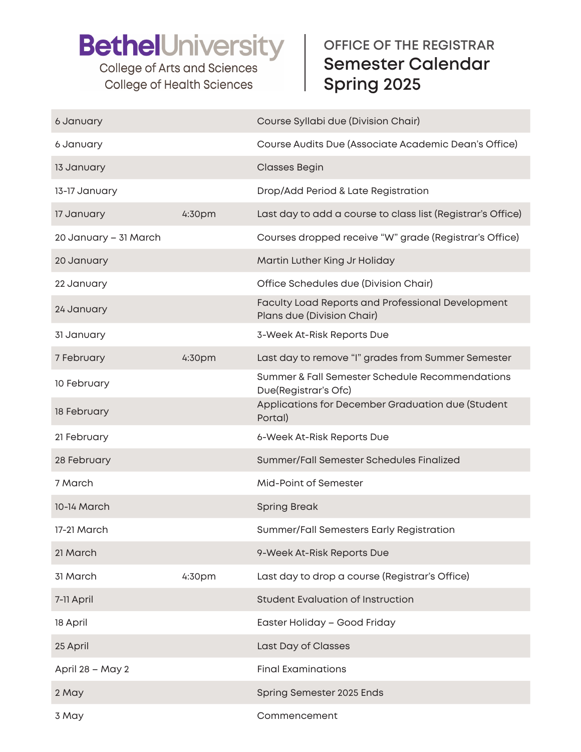**College of Arts and Sciences College of Health Sciences** 

### **OFFICE OF THE REGISTRAR Semester Calendar Spring 2025**

| 6 January             |        | Course Syllabi due (Division Chair)                                             |
|-----------------------|--------|---------------------------------------------------------------------------------|
| 6 January             |        | Course Audits Due (Associate Academic Dean's Office)                            |
| 13 January            |        | <b>Classes Begin</b>                                                            |
| 13-17 January         |        | Drop/Add Period & Late Registration                                             |
| 17 January            | 4:30pm | Last day to add a course to class list (Registrar's Office)                     |
| 20 January – 31 March |        | Courses dropped receive "W" grade (Registrar's Office)                          |
| 20 January            |        | Martin Luther King Jr Holiday                                                   |
| 22 January            |        | Office Schedules due (Division Chair)                                           |
| 24 January            |        | Faculty Load Reports and Professional Development<br>Plans due (Division Chair) |
| 31 January            |        | 3-Week At-Risk Reports Due                                                      |
| 7 February            | 4:30pm | Last day to remove "I" grades from Summer Semester                              |
| 10 February           |        | Summer & Fall Semester Schedule Recommendations<br>Due(Registrar's Ofc)         |
| 18 February           |        | Applications for December Graduation due (Student<br>Portal)                    |
| 21 February           |        | 6-Week At-Risk Reports Due                                                      |
| 28 February           |        | Summer/Fall Semester Schedules Finalized                                        |
| 7 March               |        | Mid-Point of Semester                                                           |
| 10-14 March           |        | <b>Spring Break</b>                                                             |
| 17-21 March           |        | Summer/Fall Semesters Early Registration                                        |
| 21 March              |        | 9-Week At-Risk Reports Due                                                      |
| 31 March              | 4:30pm | Last day to drop a course (Registrar's Office)                                  |
| 7-11 April            |        | <b>Student Evaluation of Instruction</b>                                        |
| 18 April              |        | Easter Holiday - Good Friday                                                    |
| 25 April              |        | Last Day of Classes                                                             |
| April 28 - May 2      |        | <b>Final Examinations</b>                                                       |
| 2 May                 |        | Spring Semester 2025 Ends                                                       |
| 3 May                 |        | Commencement                                                                    |